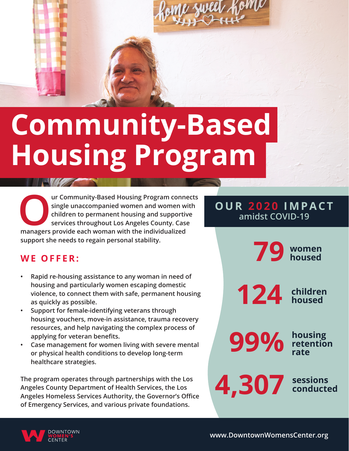

# **Community-Based Housing Program**

**OUR COMMUNIST SERVING SINGLE SINGLE SINGLE SINGLE UNIVERSITY CONTROLLED SINGLE SERVICES** throughout Los Angeles County. Case managers provide each woman with the individualized **single unaccompanied women and women with children to permanent housing and supportive services throughout Los Angeles County. Case support she needs to regain personal stability.**

### **OUR 2020 IMPACT amidst COVID-19**

### **WE OFFER:**

- **• Rapid re-housing assistance to any woman in need of housing and particularly women escaping domestic violence, to connect them with safe, permanent housing as quickly as possible.**
- **• Support for female-identifying veterans through housing vouchers, move-in assistance, trauma recovery resources, and help navigating the complex process of applying for veteran benefits.**
- **• Case management for women living with severe mental or physical health conditions to develop long-term healthcare strategies.**

**The program operates through partnerships with the Los Angeles County Department of Health Services, the Los Angeles Homeless Services Authority, the Governor's Office of Emergency Services, and various private foundations.**